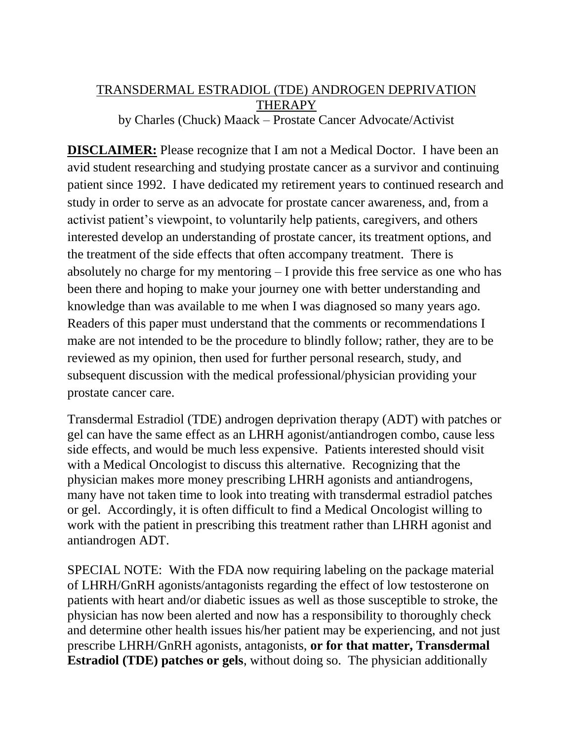## TRANSDERMAL ESTRADIOL (TDE) ANDROGEN DEPRIVATION THERAPY by Charles (Chuck) Maack – Prostate Cancer Advocate/Activist

**DISCLAIMER:** Please recognize that I am not a Medical Doctor. I have been an avid student researching and studying prostate cancer as a survivor and continuing patient since 1992. I have dedicated my retirement years to continued research and study in order to serve as an advocate for prostate cancer awareness, and, from a activist patient's viewpoint, to voluntarily help patients, caregivers, and others interested develop an understanding of prostate cancer, its treatment options, and the treatment of the side effects that often accompany treatment. There is absolutely no charge for my mentoring – I provide this free service as one who has been there and hoping to make your journey one with better understanding and knowledge than was available to me when I was diagnosed so many years ago. Readers of this paper must understand that the comments or recommendations I make are not intended to be the procedure to blindly follow; rather, they are to be reviewed as my opinion, then used for further personal research, study, and subsequent discussion with the medical professional/physician providing your prostate cancer care.

Transdermal Estradiol (TDE) androgen deprivation therapy (ADT) with patches or gel can have the same effect as an LHRH agonist/antiandrogen combo, cause less side effects, and would be much less expensive. Patients interested should visit with a Medical Oncologist to discuss this alternative. Recognizing that the physician makes more money prescribing LHRH agonists and antiandrogens, many have not taken time to look into treating with transdermal estradiol patches or gel. Accordingly, it is often difficult to find a Medical Oncologist willing to work with the patient in prescribing this treatment rather than LHRH agonist and antiandrogen ADT.

SPECIAL NOTE: With the FDA now requiring labeling on the package material of LHRH/GnRH agonists/antagonists regarding the effect of low testosterone on patients with heart and/or diabetic issues as well as those susceptible to stroke, the physician has now been alerted and now has a responsibility to thoroughly check and determine other health issues his/her patient may be experiencing, and not just prescribe LHRH/GnRH agonists, antagonists, **or for that matter, Transdermal Estradiol (TDE) patches or gels**, without doing so. The physician additionally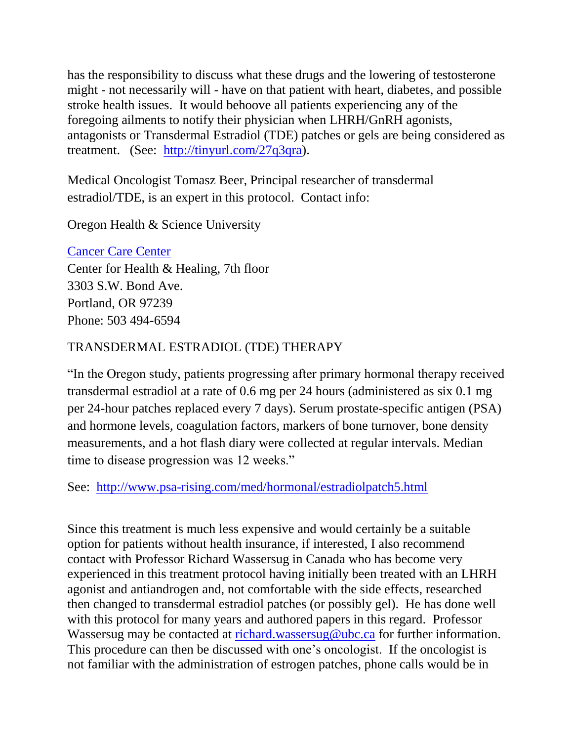has the responsibility to discuss what these drugs and the lowering of testosterone might - not necessarily will - have on that patient with heart, diabetes, and possible stroke health issues. It would behoove all patients experiencing any of the foregoing ailments to notify their physician when LHRH/GnRH agonists, antagonists or Transdermal Estradiol (TDE) patches or gels are being considered as treatment. (See: [http://tinyurl.com/27q3qra\)](http://tinyurl.com/27q3qra).

Medical Oncologist Tomasz Beer, Principal researcher of transdermal estradiol/TDE, is an expert in this protocol. Contact info:

Oregon Health & Science University

## [Cancer Care Center](http://www.ohsu.edu/health/clinics-and-services/clinic.cfm?id=11457)

Center for Health & Healing, 7th floor 3303 S.W. Bond Ave. Portland, OR 97239 Phone: 503 494-6594

## TRANSDERMAL ESTRADIOL (TDE) THERAPY

"In the Oregon study, patients progressing after primary hormonal therapy received transdermal estradiol at a rate of 0.6 mg per 24 hours (administered as six 0.1 mg per 24-hour patches replaced every 7 days). Serum prostate-specific antigen (PSA) and hormone levels, coagulation factors, markers of bone turnover, bone density measurements, and a hot flash diary were collected at regular intervals. Median time to disease progression was 12 weeks."

See: <http://www.psa-rising.com/med/hormonal/estradiolpatch5.html>

Since this treatment is much less expensive and would certainly be a suitable option for patients without health insurance, if interested, I also recommend contact with Professor Richard Wassersug in Canada who has become very experienced in this treatment protocol having initially been treated with an LHRH agonist and antiandrogen and, not comfortable with the side effects, researched then changed to transdermal estradiol patches (or possibly gel). He has done well with this protocol for many years and authored papers in this regard. Professor Wassersug may be contacted at [richard.wassersug@ubc.ca](mailto:richard.wassersug@ubc.ca) for further information. This procedure can then be discussed with one's oncologist. If the oncologist is not familiar with the administration of estrogen patches, phone calls would be in